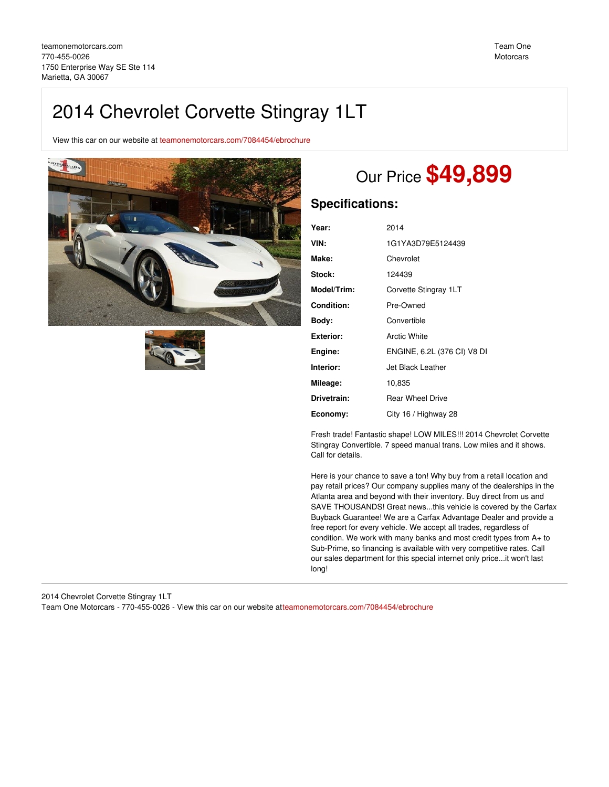# 2014 Chevrolet Corvette Stingray 1LT

View this car on our website at [teamonemotorcars.com/7084454/ebrochure](https://teamonemotorcars.com/vehicle/7084454/2014-chevrolet-corvette-stingray-1lt-marietta-ga-30067/7084454/ebrochure)





# Our Price **\$49,899**

## **Specifications:**

| Year:       | 2014                        |
|-------------|-----------------------------|
| VIN:        | 1G1YA3D79E5124439           |
| Make:       | Chevrolet                   |
| Stock:      | 124439                      |
| Model/Trim: | Corvette Stingray 1LT       |
| Condition:  | Pre-Owned                   |
| Body:       | Convertible                 |
| Exterior:   | Arctic White                |
| Engine:     | ENGINE, 6.2L (376 CI) V8 DI |
| Interior:   | Jet Black Leather           |
| Mileage:    | 10,835                      |
| Drivetrain: | <b>Rear Wheel Drive</b>     |
| Economy:    | City 16 / Highway 28        |

Fresh trade! Fantastic shape! LOW MILES!!! 2014 Chevrolet Corvette Stingray Convertible. 7 speed manual trans. Low miles and it shows. Call for details.

Here is your chance to save a ton! Why buy from a retail location and pay retail prices? Our company supplies many of the dealerships in the Atlanta area and beyond with their inventory. Buy direct from us and SAVE THOUSANDS! Great news...this vehicle is covered by the Carfax Buyback Guarantee! We are a Carfax Advantage Dealer and provide a free report for every vehicle. We accept all trades, regardless of condition. We work with many banks and most credit types from A+ to Sub-Prime, so financing is available with very competitive rates. Call our sales department for this special internet only price...it won't last long!

2014 Chevrolet Corvette Stingray 1LT Team One Motorcars - 770-455-0026 - View this car on our website a[tteamonemotorcars.com/7084454/ebrochure](https://teamonemotorcars.com/vehicle/7084454/2014-chevrolet-corvette-stingray-1lt-marietta-ga-30067/7084454/ebrochure)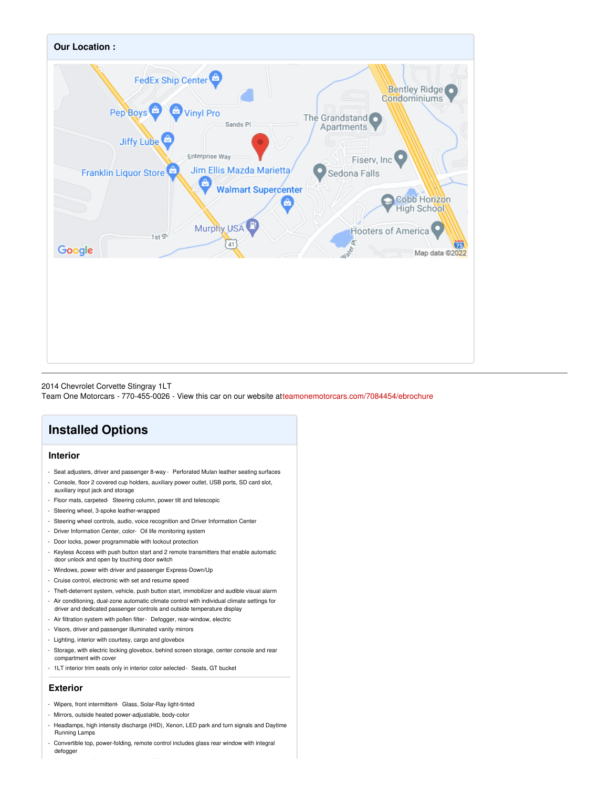

#### 2014 Chevrolet Corvette Stingray 1LT

Team One Motorcars - 770-455-0026 - View this car on our website a[tteamonemotorcars.com/7084454/ebrochure](https://teamonemotorcars.com/vehicle/7084454/2014-chevrolet-corvette-stingray-1lt-marietta-ga-30067/7084454/ebrochure)

# **Installed Options**

## **Interior**

- Seat adjusters, driver and passenger 8-way Perforated Mulan leather seating surfaces
- Console, floor 2 covered cup holders, auxiliary power outlet, USB ports, SD card slot, auxiliary input jack and storage
- Floor mats, carpeted- Steering column, power tilt and telescopic
- Steering wheel, 3-spoke leather-wrapped
- Steering wheel controls, audio, voice recognition and Driver Information Center
- Driver Information Center, color- Oil life monitoring system
- Door locks, power programmable with lockout protection
- Keyless Access with push button start and 2 remote transmitters that enable automatic door unlock and open by touching door switch
- Windows, power with driver and passenger Express-Down/Up
- Cruise control, electronic with set and resume speed
- Theft-deterrent system, vehicle, push button start, immobilizer and audible visual alarm
- Air conditioning, dual-zone automatic climate control with individual climate settings for
- driver and dedicated passenger controls and outside temperature display - Air filtration system with pollen filter- Defogger, rear-window, electric
- 
- Visors, driver and passenger illuminated vanity mirrors
- Lighting, interior with courtesy, cargo and glovebox
- Storage, with electric locking glovebox, behind screen storage, center console and rear compartment with cover
- 1LT interior trim seats only in interior color selected- Seats, GT bucket

### **Exterior**

- Wipers, front intermittent- Glass, Solar-Ray light-tinted
- Mirrors, outside heated power-adjustable, body-color
- Headlamps, high intensity discharge (HID), Xenon, LED park and turn signals and Daytime Running Lamps
- Convertible top, power-folding, remote control includes glass rear window with integral defogger